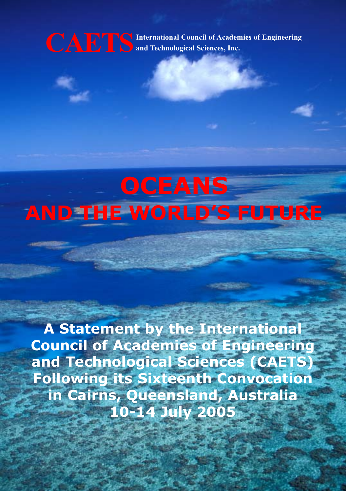**IDETS** International Council of Academies of Engineering<br>and Technological Sciences, Inc.

# **OCEANS AND THE WORLD'S FUTURE**

**A Statement by the International Council of Academies of Engineering and Technological Sciences (CAETS) Following its Sixteenth Convocation in Cairns, Queensland, Australia 10-14 July 2005**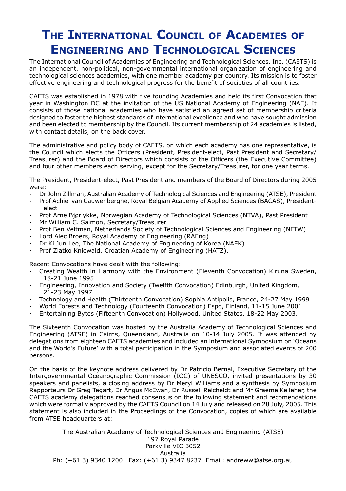## **THE INTERNATIONAL COUNCIL OF ACADEMIES OF ENGINEERING AND TECHNOLOGICAL SCIENCES**

The International Council of Academies of Engineering and Technological Sciences, Inc. (CAETS) is an independent, non-political, non-governmental international organization of engineering and technological sciences academies, with one member academy per country. Its mission is to foster effective engineering and technological progress for the benefit of societies of all countries.

CAETS was established in 1978 with five founding Academies and held its first Convocation that year in Washington DC at the invitation of the US National Academy of Engineering (NAE). It consists of those national academies who have satisfied an agreed set of membership criteria designed to foster the highest standards of international excellence and who have sought admission and been elected to membership by the Council. Its current membership of 24 academies is listed, with contact details, on the back cover.

The administrative and policy body of CAETS, on which each academy has one representative, is the Council which elects the Officers (President, President-elect, Past President and Secretary/ Treasurer) and the Board of Directors which consists of the Officers (the Executive Committee) and four other members each serving, except for the Secretary/Treasurer, for one year terms.

The President, President-elect, Past President and members of the Board of Directors during 2005 were:

- · Dr John Zillman, Australian Academy of Technological Sciences and Engineering (ATSE), President
- · Prof Achiel van Cauwenberghe, Royal Belgian Academy of Applied Sciences (BACAS), President elect
- · Prof Arne Bjørlykke, Norwegian Academy of Technological Sciences (NTVA), Past President
- Mr William C. Salmon, Secretary/Treasurer
- Prof Ben Veltman, Netherlands Society of Technological Sciences and Engineering (NFTW)
- Lord Alec Broers, Royal Academy of Engineering (RAEng)
- · Dr Ki Jun Lee, The National Academy of Engineering of Korea (NAEK)
- · Prof Zlatko Kniewald, Croatian Academy of Engineering (HATZ).

Recent Convocations have dealt with the following:

- · Creating Wealth in Harmony with the Environment (Eleventh Convocation) Kiruna Sweden, 18-21 June 1995
- · Engineering, Innovation and Society (Twelfth Convocation) Edinburgh, United Kingdom, 21-23 May 1997
- · Technology and Health (Thirteenth Convocation) Sophia Antipolis, France, 24-27 May 1999
- · World Forests and Technology (Fourteenth Convocation) Espo, Finland, 11-15 June 2001
- · Entertaining Bytes (Fifteenth Convocation) Hollywood, United States, 18-22 May 2003.

The Sixteenth Convocation was hosted by the Australia Academy of Technological Sciences and Engineering (ATSE) in Cairns, Queensland, Australia on 10-14 July 2005. It was attended by delegations from eighteen CAETS academies and included an international Symposium on 'Oceans and the World's Future' with a total participation in the Symposium and associated events of 200 persons.

On the basis of the keynote address delivered by Dr Patricio Bernal, Executive Secretary of the Intergovernmental Oceanographic Commission (IOC) of UNESCO, invited presentations by 30 speakers and panelists, a closing address by Dr Meryl Williams and a synthesis by Symposium Rapporteurs Dr Greg Tegart, Dr Angus McEwan, Dr Russell Reicheldt and Mr Graeme Kelleher, the CAETS academy delegations reached consensus on the following statement and recomendations which were formally approved by the CAETS Council on 14 July and released on 28 July, 2005. This statement is also included in the Proceedings of the Convocation, copies of which are available from ATSE headquarters at:

The Australian Academy of Technological Sciences and Engineering (ATSE) 197 Royal Parade Parkville VIC 3052 Australia Ph: (+61 3) 9340 1200 Fax: (+61 3) 9347 8237 Email: andreww@atse.org.au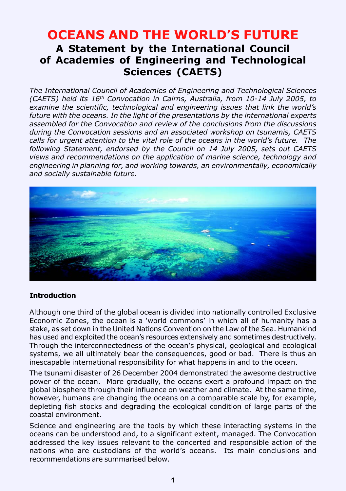### **OCEANS AND THE WORLD'S FUTURE A Statement by the International Council of Academies of Engineering and Technological Sciences (CAETS)**

*The International Council of Academies of Engineering and Technological Sciences (CAETS) held its 16th Convocation in Cairns, Australia, from 10-14 July 2005, to examine the scientific, technological and engineering issues that link the world's future with the oceans. In the light of the presentations by the international experts assembled for the Convocation and review of the conclusions from the discussions during the Convocation sessions and an associated workshop on tsunamis, CAETS calls for urgent attention to the vital role of the oceans in the world's future. The following Statement, endorsed by the Council on 14 July 2005, sets out CAETS views and recommendations on the application of marine science, technology and engineering in planning for, and working towards, an environmentally, economically and socially sustainable future.*



#### **Introduction**

Although one third of the global ocean is divided into nationally controlled Exclusive Economic Zones, the ocean is a 'world commons' in which all of humanity has a stake, as set down in the United Nations Convention on the Law of the Sea. Humankind has used and exploited the ocean's resources extensively and sometimes destructively. Through the interconnectedness of the ocean's physical, geological and ecological systems, we all ultimately bear the consequences, good or bad. There is thus an inescapable international responsibility for what happens in and to the ocean.

The tsunami disaster of 26 December 2004 demonstrated the awesome destructive power of the ocean. More gradually, the oceans exert a profound impact on the global biosphere through their influence on weather and climate. At the same time, however, humans are changing the oceans on a comparable scale by, for example, depleting fish stocks and degrading the ecological condition of large parts of the coastal environment.

Science and engineering are the tools by which these interacting systems in the oceans can be understood and, to a significant extent, managed. The Convocation addressed the key issues relevant to the concerted and responsible action of the nations who are custodians of the world's oceans. Its main conclusions and recommendations are summarised below.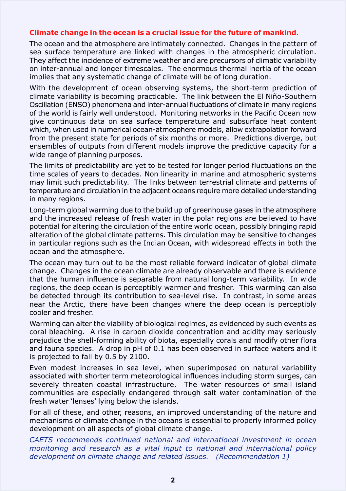#### **Climate change in the ocean is a crucial issue for the future of mankind.**

The ocean and the atmosphere are intimately connected. Changes in the pattern of sea surface temperature are linked with changes in the atmospheric circulation. They affect the incidence of extreme weather and are precursors of climatic variability on inter-annual and longer timescales. The enormous thermal inertia of the ocean implies that any systematic change of climate will be of long duration.

With the development of ocean observing systems, the short-term prediction of climate variability is becoming practicable. The link between the El Niño-Southern Oscillation (ENSO) phenomena and inter-annual fluctuations of climate in many regions of the world is fairly well understood. Monitoring networks in the Pacific Ocean now give continuous data on sea surface temperature and subsurface heat content which, when used in numerical ocean-atmosphere models, allow extrapolation forward from the present state for periods of six months or more. Predictions diverge, but ensembles of outputs from different models improve the predictive capacity for a wide range of planning purposes.

The limits of predictability are yet to be tested for longer period fluctuations on the time scales of years to decades. Non linearity in marine and atmospheric systems may limit such predictability. The links between terrestrial climate and patterns of temperature and circulation in the adjacent oceans require more detailed understanding in many regions.

Long-term global warming due to the build up of greenhouse gases in the atmosphere and the increased release of fresh water in the polar regions are believed to have potential for altering the circulation of the entire world ocean, possibly bringing rapid alteration of the global climate patterns. This circulation may be sensitive to changes in particular regions such as the Indian Ocean, with widespread effects in both the ocean and the atmosphere.

The ocean may turn out to be the most reliable forward indicator of global climate change. Changes in the ocean climate are already observable and there is evidence that the human influence is separable from natural long-term variability. In wide regions, the deep ocean is perceptibly warmer and fresher. This warming can also be detected through its contribution to sea-level rise. In contrast, in some areas near the Arctic, there have been changes where the deep ocean is perceptibly cooler and fresher.

Warming can alter the viability of biological regimes, as evidenced by such events as coral bleaching. A rise in carbon dioxide concentration and acidity may seriously prejudice the shell-forming ability of biota, especially corals and modify other flora and fauna species. A drop in pH of 0.1 has been observed in surface waters and it is projected to fall by 0.5 by 2100.

Even modest increases in sea level, when superimposed on natural variability associated with shorter term meteorological influences including storm surges, can severely threaten coastal infrastructure. The water resources of small island communities are especially endangered through salt water contamination of the fresh water 'lenses' lying below the islands.

For all of these, and other, reasons, an improved understanding of the nature and mechanisms of climate change in the oceans is essential to properly informed policy development on all aspects of global climate change.

*CAETS recommends continued national and international investment in ocean monitoring and research as a vital input to national and international policy development on climate change and related issues. (Recommendation 1)*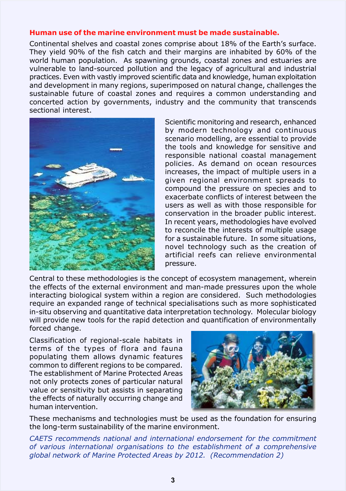#### **Human use of the marine environment must be made sustainable.**

Continental shelves and coastal zones comprise about 18% of the Earth's surface. They yield 90% of the fish catch and their margins are inhabited by 60% of the world human population. As spawning grounds, coastal zones and estuaries are vulnerable to land-sourced pollution and the legacy of agricultural and industrial practices. Even with vastly improved scientific data and knowledge, human exploitation and development in many regions, superimposed on natural change, challenges the sustainable future of coastal zones and requires a common understanding and concerted action by governments, industry and the community that transcends sectional interest.



Scientific monitoring and research, enhanced by modern technology and continuous scenario modelling, are essential to provide the tools and knowledge for sensitive and responsible national coastal management policies. As demand on ocean resources increases, the impact of multiple users in a given regional environment spreads to compound the pressure on species and to exacerbate conflicts of interest between the users as well as with those responsible for conservation in the broader public interest. In recent years, methodologies have evolved to reconcile the interests of multiple usage for a sustainable future. In some situations, novel technology such as the creation of artificial reefs can relieve environmental pressure.

Central to these methodologies is the concept of ecosystem management, wherein the effects of the external environment and man-made pressures upon the whole interacting biological system within a region are considered. Such methodologies require an expanded range of technical specialisations such as more sophisticated in-situ observing and quantitative data interpretation technology. Molecular biology will provide new tools for the rapid detection and quantification of environmentally forced change.

Classification of regional-scale habitats in terms of the types of flora and fauna populating them allows dynamic features common to different regions to be compared. The establishment of Marine Protected Areas not only protects zones of particular natural value or sensitivity but assists in separating the effects of naturally occurring change and human intervention.



These mechanisms and technologies must be used as the foundation for ensuring the long-term sustainability of the marine environment.

*CAETS recommends national and international endorsement for the commitment of various international organisations to the establishment of a comprehensive global network of Marine Protected Areas by 2012. (Recommendation 2)*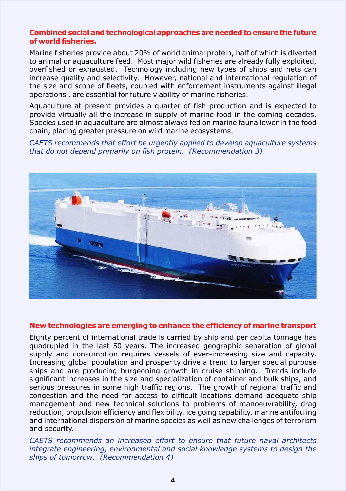#### **Combined social and technological approaches are needed to ensure the future of world fisheries.**

Marine fisheries provide about 20% of world animal protein, half of which is diverted to animal or aquaculture feed. Most major wild fisheries are already fully exploited, overfished or exhausted. Technology including new types of ships and nets can increase quality and selectivity. However, national and international regulation of the size and scope of fleets, coupled with enforcement instruments against illegal operations , are essential for future viability of marine fisheries.

Aquaculture at present provides a quarter of fish production and is expected to provide virtually all the increase in supply of marine food in the coming decades. Species used in aquaculture are almost always fed on marine fauna lower in the food chain, placing greater pressure on wild marine ecosystems.

*CAETS recommends that effort be urgently applied to develop aquaculture systems that do not depend primarily on fish protein. (Recommendation 3)*



#### **New technologies are emerging to enhance the efficiency of marine transport**

Eighty percent of international trade is carried by ship and per capita tonnage has quadrupled in the last 50 years. The increased geographic separation of global supply and consumption requires vessels of ever-increasing size and capacity. Increasing global population and prosperity drive a trend to larger special purpose ships and are producing burgeoning growth in cruise shipping. Trends include significant increases in the size and specialization of container and bulk ships, and serious pressures in some high traffic regions. The growth of regional traffic and congestion and the need for access to difficult locations demand adequate ship management and new technical solutions to problems of manoeuvrability, drag reduction, propulsion efficiency and flexibility, ice going capability, marine antifouling and international dispersion of marine species as well as new challenges of terrorism and security.

*CAETS recommends an increased effort to ensure that future naval architects integrate engineering, environmental and social knowledge systems to design the ships of tomorrow. (Recommendation 4)*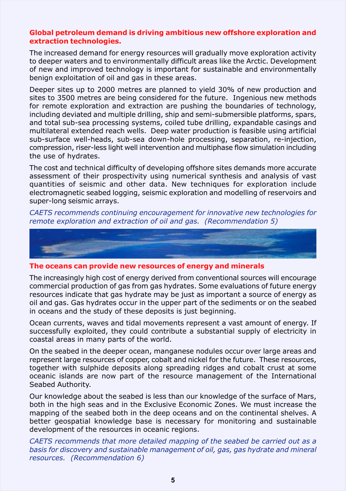#### **Global petroleum demand is driving ambitious new offshore exploration and extraction technologies.**

The increased demand for energy resources will gradually move exploration activity to deeper waters and to environmentally difficult areas like the Arctic. Development of new and improved technology is important for sustainable and environmentally benign exploitation of oil and gas in these areas.

Deeper sites up to 2000 metres are planned to yield 30% of new production and sites to 3500 metres are being considered for the future. Ingenious new methods for remote exploration and extraction are pushing the boundaries of technology, including deviated and multiple drilling, ship and semi-submersible platforms, spars, and total sub-sea processing systems, coiled tube drilling, expandable casings and multilateral extended reach wells. Deep water production is feasible using artificial sub-surface well-heads, sub-sea down-hole processing, separation, re-injection, compression, riser-less light well intervention and multiphase flow simulation including the use of hydrates.

The cost and technical difficulty of developing offshore sites demands more accurate assessment of their prospectivity using numerical synthesis and analysis of vast quantities of seismic and other data. New techniques for exploration include electromagnetic seabed logging, seismic exploration and modelling of reservoirs and super-long seismic arrays.

*CAETS recommends continuing encouragement for innovative new technologies for remote exploration and extraction of oil and gas. (Recommendation 5)*



**The oceans can provide new resources of energy and minerals**

The increasingly high cost of energy derived from conventional sources will encourage commercial production of gas from gas hydrates. Some evaluations of future energy resources indicate that gas hydrate may be just as important a source of energy as oil and gas. Gas hydrates occur in the upper part of the sediments or on the seabed in oceans and the study of these deposits is just beginning.

Ocean currents, waves and tidal movements represent a vast amount of energy. If successfully exploited, they could contribute a substantial supply of electricity in coastal areas in many parts of the world.

On the seabed in the deeper ocean, manganese nodules occur over large areas and represent large resources of copper, cobalt and nickel for the future. These resources, together with sulphide deposits along spreading ridges and cobalt crust at some oceanic islands are now part of the resource management of the International Seabed Authority.

Our knowledge about the seabed is less than our knowledge of the surface of Mars, both in the high seas and in the Exclusive Economic Zones. We must increase the mapping of the seabed both in the deep oceans and on the continental shelves. A better geospatial knowledge base is necessary for monitoring and sustainable development of the resources in oceanic regions.

*CAETS recommends that more detailed mapping of the seabed be carried out as a basis for discovery and sustainable management of oil, gas, gas hydrate and mineral resources. (Recommendation 6)*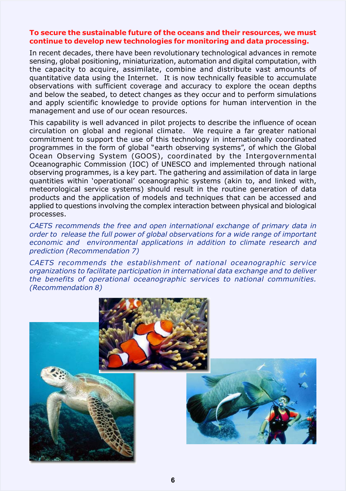#### **To secure the sustainable future of the oceans and their resources, we must continue to develop new technologies for monitoring and data processing.**

In recent decades, there have been revolutionary technological advances in remote sensing, global positioning, miniaturization, automation and digital computation, with the capacity to acquire, assimilate, combine and distribute vast amounts of quantitative data using the Internet. It is now technically feasible to accumulate observations with sufficient coverage and accuracy to explore the ocean depths and below the seabed, to detect changes as they occur and to perform simulations and apply scientific knowledge to provide options for human intervention in the management and use of our ocean resources.

This capability is well advanced in pilot projects to describe the influence of ocean circulation on global and regional climate. We require a far greater national commitment to support the use of this technology in internationally coordinated programmes in the form of global "earth observing systems", of which the Global Ocean Observing System (GOOS), coordinated by the Intergovernmental Oceanographic Commission (IOC) of UNESCO and implemented through national observing programmes, is a key part. The gathering and assimilation of data in large quantities within 'operational' oceanographic systems (akin to, and linked with, meteorological service systems) should result in the routine generation of data products and the application of models and techniques that can be accessed and applied to questions involving the complex interaction between physical and biological processes.

*CAETS recommends the free and open international exchange of primary data in order to release the full power of global observations for a wide range of important economic and environmental applications in addition to climate research and prediction (Recommendation 7)*

*CAETS recommends the establishment of national oceanographic service organizations to facilitate participation in international data exchange and to deliver the benefits of operational oceanographic services to national communities. (Recommendation 8)*

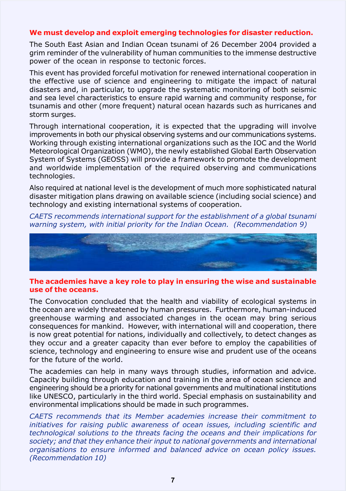#### **We must develop and exploit emerging technologies for disaster reduction.**

The South East Asian and Indian Ocean tsunami of 26 December 2004 provided a grim reminder of the vulnerability of human communities to the immense destructive power of the ocean in response to tectonic forces.

This event has provided forceful motivation for renewed international cooperation in the effective use of science and engineering to mitigate the impact of natural disasters and, in particular, to upgrade the systematic monitoring of both seismic and sea level characteristics to ensure rapid warning and community response, for tsunamis and other (more frequent) natural ocean hazards such as hurricanes and storm surges.

Through international cooperation, it is expected that the upgrading will involve improvements in both our physical observing systems and our communications systems. Working through existing international organizations such as the IOC and the World Meteorological Organization (WMO), the newly established Global Earth Observation System of Systems (GEOSS) will provide a framework to promote the development and worldwide implementation of the required observing and communications technologies.

Also required at national level is the development of much more sophisticated natural disaster mitigation plans drawing on available science (including social science) and technology and existing international systems of cooperation.

*CAETS recommends international support for the establishment of a global tsunami warning system, with initial priority for the Indian Ocean. (Recommendation 9)*



#### **The academies have a key role to play in ensuring the wise and sustainable use of the oceans.**

The Convocation concluded that the health and viability of ecological systems in the ocean are widely threatened by human pressures. Furthermore, human-induced greenhouse warming and associated changes in the ocean may bring serious consequences for mankind. However, with international will and cooperation, there is now great potential for nations, individually and collectively, to detect changes as they occur and a greater capacity than ever before to employ the capabilities of science, technology and engineering to ensure wise and prudent use of the oceans for the future of the world.

The academies can help in many ways through studies, information and advice. Capacity building through education and training in the area of ocean science and engineering should be a priority for national governments and multinational institutions like UNESCO, particularly in the third world. Special emphasis on sustainability and environmental implications should be made in such programmes.

*CAETS recommends that its Member academies increase their commitment to initiatives for raising public awareness of ocean issues, including scientific and technological solutions to the threats facing the oceans and their implications for society; and that they enhance their input to national governments and international organisations to ensure informed and balanced advice on ocean policy issues. (Recommendation 10)*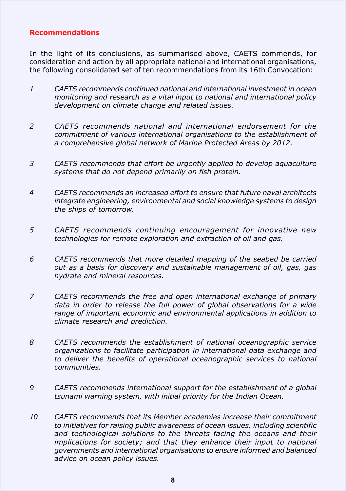#### **Recommendations**

In the light of its conclusions, as summarised above, CAETS commends, for consideration and action by all appropriate national and international organisations, the following consolidated set of ten recommendations from its 16th Convocation:

- *1 CAETS recommends continued national and international investment in ocean monitoring and research as a vital input to national and international policy development on climate change and related issues.*
- *2 CAETS recommends national and international endorsement for the commitment of various international organisations to the establishment of a comprehensive global network of Marine Protected Areas by 2012.*
- *3 CAETS recommends that effort be urgently applied to develop aquaculture systems that do not depend primarily on fish protein.*
- *4 CAETS recommends an increased effort to ensure that future naval architects integrate engineering, environmental and social knowledge systems to design the ships of tomorrow.*
- *5 CAETS recommends continuing encouragement for innovative new technologies for remote exploration and extraction of oil and gas.*
- *6 CAETS recommends that more detailed mapping of the seabed be carried out as a basis for discovery and sustainable management of oil, gas, gas hydrate and mineral resources.*
- *7 CAETS recommends the free and open international exchange of primary data in order to release the full power of global observations for a wide range of important economic and environmental applications in addition to climate research and prediction.*
- *8 CAETS recommends the establishment of national oceanographic service organizations to facilitate participation in international data exchange and to deliver the benefits of operational oceanographic services to national communities.*
- *9 CAETS recommends international support for the establishment of a global tsunami warning system, with initial priority for the Indian Ocean.*
- *10 CAETS recommends that its Member academies increase their commitment to initiatives for raising public awareness of ocean issues, including scientific and technological solutions to the threats facing the oceans and their implications for society; and that they enhance their input to national governments and international organisations to ensure informed and balanced advice on ocean policy issues.*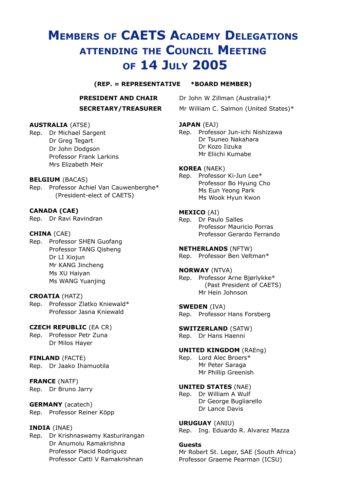## **MEMBERS OF CAETS ACADEMY DELEGATIONS ATTENDING THE COUNCIL MEETING OF 14 JULY 2005**

#### **(REP. = REPRESENTATIVE \*BOARD MEMBER)**

## **SECRETARY/TREASURER** Mr William C. Salmon (United States)\*

**PRESIDENT AND CHAIR** Dr John W Zillman (Australia)\*

#### **JAPAN** (EAJ)

Rep. Professor Jun-ichi Nishizawa Dr Tsuneo Nakahara Dr Kozo Iizuka Mr Eliichi Kumabe

#### **KOREA** (NAEK)

Rep. Professor Ki-Jun Lee\* Professor Bo Hyung Cho Ms Eun Yeong Park Ms Wook Hyun Kwon

#### **MEXICO** (AI)

Rep. Dr Paulo Salles Professor Mauricio Porras Professor Gerardo Ferrando

#### **NETHERLANDS** (NFTW)

Rep. Professor Ben Veltman\*

#### **NORWAY** (NTVA)

Rep. Professor Arne Bjørlykke\* (Past President of CAETS) Mr Hein Johnson

#### **SWEDEN** (IVA)

Rep. Professor Hans Forsberg

#### **SWITZERLAND** (SATW)

Rep. Dr Hans Haenni

#### **UNITED KINGDOM** (RAEng)

Rep. Lord Alec Broers\* Mr Peter Saraga Mr Phillip Greenish

#### **UNITED STATES** (NAE)

Rep. Dr William A Wulf Dr George Bugliarello Dr Lance Davis

#### **URUGUAY** (ANIU)

Rep. Ing. Eduardo R. Alvarez Mazza

#### **Guests**

Mr Robert St. Leger, SAE (South Africa) Professor Graeme Pearman (ICSU)

#### **AUSTRALIA** (ATSE)

Rep. Dr Michael Sargent Dr Greg Tegart Dr John Dodgson Professor Frank Larkins Mrs Elizabeth Meir

#### **BELGIUM** (BACAS)

Rep. Professor Achiel Van Cauwenberghe\* (President-elect of CAETS)

#### **CANADA (CAE)**

Rep. Dr Ravi Ravindran

#### **CHINA** (CAE)

Rep. Professor SHEN Guofang Professor TANG Qisheng Dr LI Xiojun Mr KANG Jincheng Ms XU Haiyan Ms WANG Yuanjing

#### **CROATIA** (HATZ)

Rep. Professor Zlatko Kniewald\* Professor Jasna Kniewald

#### **CZECH REPUBLIC** (EA CR)

Rep. Professor Petr Zuna Dr Milos Hayer

#### **FINLAND** (FACTE)

Rep. Dr Jaako Ihamuotila

#### **FRANCE** (NATF)

Rep. Dr Bruno Jarry

#### **GERMANY** (acatech)

Rep. Professor Reiner Köpp

#### **INDIA** (INAE)

Rep. Dr Krishnaswamy Kasturirangan Dr Anumolu Ramakrishna Professor Placid Rodriguez Professor Catti V Ramakrishnan